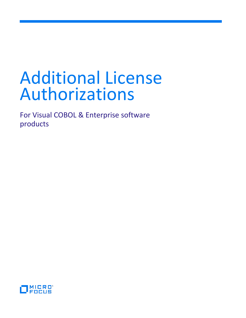# Additional License Authorizations

For Visual COBOL & Enterprise software products

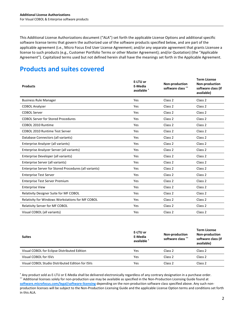This Additional License Authorizations document ("ALA") set forth the applicable License Options and additional specific software license terms that govern the authorized use of the software products specified below, and are part of the applicable agreement (i.e., Micro Focus End User License Agreement; and/or any separate agreement that grants Licensee a license to such products (e.g., Customer Portfolio Terms or other Master Agreement); and/or Quotation) (the "Applicable Agreement"). Capitalized terms used but not defined herein shall have the meanings set forth in the Applicable Agreement.

# **Products and suites covered**

| <b>Products</b>                                        | E-LTU or<br>E-Media<br>available * | Non-production<br>software class ** | <b>Term License</b><br>Non-production<br>software class (if<br>available) |
|--------------------------------------------------------|------------------------------------|-------------------------------------|---------------------------------------------------------------------------|
| <b>Business Rule Manager</b>                           | Yes                                | Class <sub>2</sub>                  | Class <sub>2</sub>                                                        |
| <b>COBOL Analyzer</b>                                  | Yes                                | Class 2                             | Class <sub>2</sub>                                                        |
| <b>COBOL Server</b>                                    | Yes                                | Class 2                             | Class <sub>2</sub>                                                        |
| <b>COBOL Server for Stored Procedures</b>              | Yes                                | Class <sub>2</sub>                  | Class <sub>2</sub>                                                        |
| COBOL 2010 Runtime                                     | Yes                                | Class <sub>2</sub>                  | Class <sub>2</sub>                                                        |
| <b>COBOL 2010 Runtime Test Server</b>                  | Yes                                | Class <sub>2</sub>                  | Class <sub>2</sub>                                                        |
| Database Connectors (all variants)                     | Yes                                | Class 2                             | Class <sub>2</sub>                                                        |
| Enterprise Analyzer (all variants)                     | Yes                                | Class <sub>2</sub>                  | Class <sub>2</sub>                                                        |
| Enterprise Analyzer Server (all variants)              | Yes                                | Class <sub>2</sub>                  | Class <sub>2</sub>                                                        |
| Enterprise Developer (all variants)                    | Yes                                | Class 2                             | Class <sub>2</sub>                                                        |
| Enterprise Server (all variants)                       | Yes                                | Class <sub>2</sub>                  | Class <sub>2</sub>                                                        |
| Enterprise Server for Stored Procedures (all variants) | Yes                                | Class <sub>2</sub>                  | Class <sub>2</sub>                                                        |
| <b>Enterprise Test Server</b>                          | Yes                                | Class <sub>2</sub>                  | Class 2                                                                   |
| <b>Enterprise Test Server Premium</b>                  | Yes                                | Class 2                             | Class <sub>2</sub>                                                        |
| <b>Enterprise View</b>                                 | Yes                                | Class <sub>2</sub>                  | Class <sub>2</sub>                                                        |
| Relativity Designer Suite for MF COBOL                 | Yes                                | Class <sub>2</sub>                  | Class <sub>2</sub>                                                        |
| Relativity for Windows Workstations for MF COBOL       | Yes                                | Class 2                             | Class <sub>2</sub>                                                        |
| Relativity Server for MF COBOL                         | Yes                                | Class <sub>2</sub>                  | Class <sub>2</sub>                                                        |
| Visual COBOL (all variants)                            | Yes                                | Class <sub>2</sub>                  | Class <sub>2</sub>                                                        |

| <b>Suites</b>                                    | E-LTU or<br>E-Media<br>available * | Non-production<br>software class ** | <b>Term License</b><br><b>Non-production</b><br>software class (if<br>available) |
|--------------------------------------------------|------------------------------------|-------------------------------------|----------------------------------------------------------------------------------|
| Visual COBOL for Eclipse Distributed Edition     | Yes                                | Class 2                             | Class 2                                                                          |
| Visual COBOL for ISVs                            | Yes                                | Class 2                             | Class 2                                                                          |
| Visual COBOL Studio Distributed Edition for ISVs | Yes                                | Class <sub>2</sub>                  | Class 2                                                                          |

\* Any product sold as E-LTU or E-Media shall be delivered electronically regardless of any contrary designation in a purchase order. \*\* Additional licenses solely for non-production use may be available as specified in the Non-Production Licensing Guide found at **[software.microfocus.com/legal/software-licensing](http://software.microfocus.com/legal/software-licensing)** depending on the non-production software class specified above. Any such nonproduction licenses will be subject to the Non-Production Licensing Guide and the applicable License Option terms and conditions set forth in this ALA.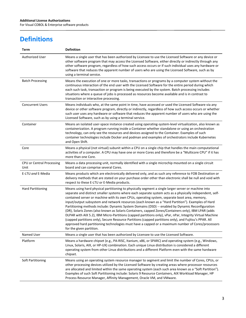# **Definitions**

 $\overline{\phantom{a}}$ 

| Term                              | <b>Definition</b>                                                                                                                                                                                                                                                                                                                                                                                                                                                                                                                                                                                                                                                                                                                                                                                                                                                                                                                                                                         |
|-----------------------------------|-------------------------------------------------------------------------------------------------------------------------------------------------------------------------------------------------------------------------------------------------------------------------------------------------------------------------------------------------------------------------------------------------------------------------------------------------------------------------------------------------------------------------------------------------------------------------------------------------------------------------------------------------------------------------------------------------------------------------------------------------------------------------------------------------------------------------------------------------------------------------------------------------------------------------------------------------------------------------------------------|
| <b>Authorized User</b>            | Means a single user that has been authorized by Licensee to use the Licensed Software or any device or<br>other software program that may access the Licensed Software, either directly or indirectly through any<br>other software program, regardless of how such access occurs or if such individual uses any hardware or<br>software that reduces the apparent number of users who are using the Licensed Software, such as by<br>using a terminal service.                                                                                                                                                                                                                                                                                                                                                                                                                                                                                                                           |
| <b>Batch Processing</b>           | Means the execution of one or more tasks, transactions or programs by a computer system without the<br>continuous interaction of the end user with the Licensed Software for the entire period during which<br>each such task, transaction or program is being executed by the system. Batch processing includes<br>situations where a queue of jobs is processed as resources become available and is in contrast to<br>transaction or interactive processing.                                                                                                                                                                                                                                                                                                                                                                                                                                                                                                                           |
| <b>Concurrent Users</b>           | Means individuals who, at the same point in time, have accessed or used the Licensed Software via any<br>device or other software program, directly or indirectly, regardless of how such access occurs or whether<br>such user uses any hardware or software that reduces the apparent number of users who are using the<br>Licensed Software, such as by using a terminal service.                                                                                                                                                                                                                                                                                                                                                                                                                                                                                                                                                                                                      |
| Container                         | Means an isolated user-space instance created using operating-system-level virtualization, also known as<br>containerization. A program running inside a Container whether standalone or using an orchestration<br>technology, can only see the resources and devices assigned to the Container. Examples of such<br>container technologies include Docker and podman and examples of orchestrators include Kubernetes<br>and Open Shift.                                                                                                                                                                                                                                                                                                                                                                                                                                                                                                                                                 |
| Core                              | Means a physical (not virtual) subunit within a CPU on a single chip that handles the main computational<br>activities of a computer. A CPU may have one or more Cores and therefore be a "Multicore CPU" if it has<br>more than one Core.                                                                                                                                                                                                                                                                                                                                                                                                                                                                                                                                                                                                                                                                                                                                                |
| CPU or Central Processing<br>Unit | Means a data processing unit, normally identified with a single microchip mounted on a single circuit<br>board and can comprise several Cores.                                                                                                                                                                                                                                                                                                                                                                                                                                                                                                                                                                                                                                                                                                                                                                                                                                            |
| E-LTU and E-Media                 | Means products which are electronically delivered only, and as such any reference to FOB Destination or<br>delivery methods that are stated on your purchase order other than electronic shall be null and void with<br>respect to these E-LTU or E-Media products.                                                                                                                                                                                                                                                                                                                                                                                                                                                                                                                                                                                                                                                                                                                       |
| <b>Hard Partitioning</b>          | Means using hard physical partitioning to physically segment a single larger server or machine into<br>separate and distinct smaller systems where each separate system acts as a physically independent, self-<br>contained server or machine with its own CPUs, operating system, separate boot area, memory,<br>input/output subsystem and network resources (each known as a "Hard Partition"). Examples of Hard<br>Partitioning methods include: Dynamic System Domains (DSD) -- enabled by Dynamic Reconfiguration<br>(DR), Solaris Zones (also known as Solaris Containers, capped Zones/Containers only), IBM LPAR (adds<br>DLPAR with AIX 5.2), IBM Micro-Partitions (capped partitions only), vPar, nPar, Integrity Virtual Machine<br>(capped partitions only), Secure Resource Partitions (capped partitions only), and Fujitsu's PPAR. All<br>approved hard partitioning technologies must have a capped or a maximum number of Cores/processors<br>for the given partition. |
| Named User                        | Means a single user that has been authorized by Licensee to use the Licensed Software.                                                                                                                                                                                                                                                                                                                                                                                                                                                                                                                                                                                                                                                                                                                                                                                                                                                                                                    |
| Platform                          | Means a hardware chipset (e.g., PA-RISC, Itanium, x86, or SPARC) and operating system (e.g., Windows,<br>Linux, Solaris, AIX, or HP-UX) combination. Each unique Linux distribution is considered a different<br>operating system from other Linux distributions and a different Platform even with the same hardware<br>chipset.                                                                                                                                                                                                                                                                                                                                                                                                                                                                                                                                                                                                                                                         |
| Soft Partitioning                 | Means using an operating system resource manager to segment and limit the number of Cores, CPUs, or<br>other processing devices utilized by the Licensed Software by creating areas where processor resources<br>are allocated and limited within the same operating system (each such area known as a "Soft Partition").<br>Examples of such Soft Partitioning include: Solaris 9 Resource Containers, AIX Workload Manager, HP<br>Process Resource Manager, Affinity Management, Oracle VM, and VMware.                                                                                                                                                                                                                                                                                                                                                                                                                                                                                 |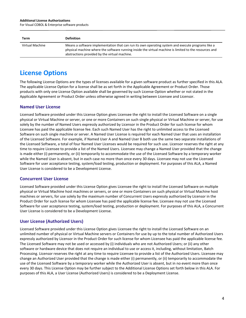#### **Additional License Authorizations**

For Visual COBOL & Enterprise software products

| Term            | <b>Definition</b>                                                                                                                                                                                                                                            |
|-----------------|--------------------------------------------------------------------------------------------------------------------------------------------------------------------------------------------------------------------------------------------------------------|
| Virtual Machine | Means a software implementation that can run its own operating system and execute programs like a<br>physical machine where the software running inside the virtual machine is limited to the resources and<br>abstractions provided by the virtual machine. |

## **License Options**

The following License Options are the types of licenses available for a given software product as further specified in this ALA. The applicable License Option for a license shall be as set forth in the Applicable Agreement or Product Order. Those products with only one License Option available shall be governed by such License Option whether or not stated in the Applicable Agreement or Product Order unless otherwise agreed in writing between Licensee and Licensor.

## **Named User License**

Licensed Software provided under this License Option gives Licensee the right to install the Licensed Software on a single physical or Virtual Machine or server, or one or more Containers on such single physical or Virtual Machine or server, for use solely by the number of Named Users expressly authorized by Licensor in the Product Order for such license for whom Licensee has paid the applicable license fee. Each such Named User has the right to unlimited access to the Licensed Software on such single machine or server. A Named User License is required for each Named User that uses an installation of the Licensed Software. For example, if Named User A and Named User B both use the same two separate installations of the Licensed Software, a total of four Named User Licenses would be required for such use. Licensor reserves the right at any time to require Licensee to provide a list of the Named Users. Licensee may change a Named User provided that the change is made either (i) permanently, or (ii) temporarily to accommodate the use of the Licensed Software by a temporary worker while the Named User is absent, but in each case no more than once every 30 days. Licensee may not use the Licensed Software for user acceptance testing, system/load testing, production or deployment. For purposes of this ALA, a Named User License is considered to be a Development License.

## **Concurrent User License**

Licensed Software provided under this License Option gives Licensee the right to install the Licensed Software on multiple physical or Virtual Machine host machines or servers, or one or more Containers on such physical or Virtual Machine host machines or servers, for use solely by the maximum number of Concurrent Users expressly authorized by Licensor in the Product Order for such license for whom Licensee has paid the applicable license fee. Licensee may not use the Licensed Software for user acceptance testing, system/load testing, production or deployment. For purposes of this ALA, a Concurrent User License is considered to be a Development License.

## **User License (Authorized Users)**

Licensed Software provided under this License Option gives Licensee the right to install the Licensed Software on an unlimited number of physical or Virtual Machine servers or Containers for use by up to the total number of Authorized Users expressly authorized by Licensor in the Product Order for such license for whom Licensee has paid the applicable license fee. The Licensed Software may not be used or accessed by (i) individuals who are not Authorized Users; or (ii) any other software or hardware device that does not require an individual to use or access it, including, without limitation, Batch Processing. Licensor reserves the right at any time to require Licensee to provide a list of the Authorized Users. Licensee may change an Authorized User provided that the change is made either (i) permanently, or (ii) temporarily to accommodate the use of the Licensed Software by a temporary worker while the Authorized User is absent, but in no event more than once every 30 days. This License Option may be further subject to the Additional License Options set forth below in this ALA. For purposes of this ALA, a User License (Authorized Users) is considered to be a Deployment License.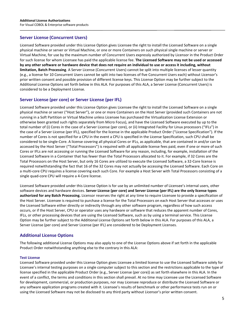## **Server License (Concurrent Users)**

Licensed Software provided under this License Option gives Licensee the right to install the Licensed Software on a single physical machine or server or Virtual Machine, or one or more Containers on such physical single machine or server or Virtual Machine, for use by the maximum number of Concurrent Users expressly authorized by Licensor in the Product Order for such license for whom Licensee has paid the applicable license fee. **The Licensed Software may not be used or accessed by any other software or hardware device that does not require an individual to use or access it including, without limitation, Batch Processing**. A Server License (Concurrent Users) cannot be split into multiple licenses of lesser quantity (e.g., a license for 10 Concurrent Users cannot be split into two licenses of five Concurrent Users each) without Licensor's prior written consent and possible provision of different license keys. This License Option may be further subject to the Additional License Options set forth below in this ALA. For purposes of this ALA, a Server License (Concurrent Users) is considered to be a Deployment License.

## **Server License (per core) or Server License (per IFL)**

Licensed Software provided under this License Option gives Licensee the right to install the Licensed Software on a single physical machine or server ("Host Server"), or one or more Containers on the Host Server (provided such Containers are not running in a Soft Partition or Virtual Machine unless Licensee has purchased the Virtualization License Extension or otherwise been granted such rights separately from Micro Focus), and have the Licensed Software executed by up to the total number of (i) Cores in the case of a Server License (per core), or (ii) Integrated Facility for Linux processors ("IFLs") in the case of a Server License (per IFL), specified for the license in the applicable Product Order ("License Specification"). If the number of Cores is not specified for a CPU in the event a CPU is specified in the License Specification, such CPU shall be considered to be single-Core. A license covering all physical Cores or IFLs, as applicable, that are contained in and/or can be accessed by the Host Server ("Total Processors") is required with all applicable license fees paid, even if one or more of such Cores or IFLs are not accessing or running the Licensed Software for any reason, including, for example, installation of the Licensed Software in a Container that has fewer than the Total Processors allocated to it. For example, if 32 Cores are the Total Processors on the Host Server, but only 16 Cores are utilized to execute the Licensed Software, a 32-Core license is required notwithstanding the fact that 16 of the 32 Cores may not actually be accessing the Licensed Software. Each Core on a multi-core CPU requires a license covering each such Core. For example a Host Server with Total Processors consisting of a single quad-core CPU will require a 4-Core license.

Licensed Software provided under this License Option is for use by an unlimited number of Licensee's internal users, other software devices and hardware devices. **Server License (per core) and Server License (per IFL) are the only license types authorized for any Batch Processing.** Licensor reserves the right at any time to require Licensee to provide a specification of the Host Server. Licensee is required to purchase a license for the Total Processors on each Host Server that accesses or uses the Licensed Software either directly or indirectly through any other software program, regardless of how such access occurs, or if the Host Server, CPU or operator uses any hardware or software that reduces the apparent number of Cores, IFLs, or other processing devices that are using the Licensed Software, such as by using a terminal service. This License Option may be further subject to the Additional License Options set forth below in this ALA. For purposes of this ALA, a Server License (per core) and Server License (per IFL) are considered to be Deployment Licenses.

## **Additional License Options**

The following additional License Options may also apply to one of the License Options above if set forth in the applicable Product Order notwithstanding anything else to the contrary in this ALA:

#### **Test License**

Licensed Software provided under this License Option gives Licensee a limited license to use the Licensed Software solely for Licensee's internal testing purposes on a single computer subject to this section and the restrictions applicable to the type of license specified in the applicable Product Order (e.g., Server License (per core)) as set forth elsewhere in this ALA. In the event of a conflict, the terms and conditions in this section shall prevail. At no time may Licensee use the Licensed Software for development, commercial, or production purposes, nor may Licensee reproduce or distribute the Licensed Software or any software application programs created with it. Licensee's results of benchmark or other performance tests run on or using the Licensed Software may not be disclosed to any third party without Licensor's prior written consent.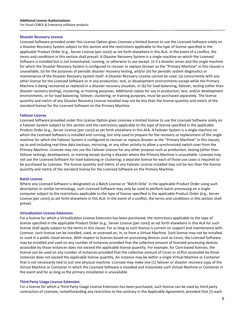#### **Disaster Recovery License**

Licensed Software provided under this License Option gives Licensee a limited license to use the Licensed Software solely on a Disaster Recovery System subject to this section and the restrictions applicable to the type of license specified in the applicable Product Order (e.g., Server License (per core)) as set forth elsewhere in this ALA. In the event of a conflict, the terms and conditions in this section shall prevail. A Disaster Recovery System is a single machine on which the Licensed Software is installed but is not instantiated, running, or otherwise in use except: (i) if a disaster arises and the single machine for which the Disaster Recovery System is configured to recover or replace (known as the "Primary Machine" in this clause) is unavailable, (ii) for the purposes of periodic disaster recovery testing, and/or (iii) for periodic system diagnostics or maintenance of the Disaster Recovery System itself. A Disaster Recovery License cannot be used: (a) concurrently with any other license for the Licensed Software or in any production, test, or development environments except while the Primary Machine is being recovered or replaced in a disaster recovery situation, or (b) for load-balancing, failover, testing (other than disaster recovery testing), clustering, or training purposes. Additional copies for use in production, test, and/or development environments, or for load-balancing, failover, clustering, or training purposes, must be purchased separately. The license quantity and metric of any Disaster Recovery License installed may not be less than the license quantity and metric of the standard license for the Licensed Software on the Primary Machine.

#### **Failover License**

Licensed Software provided under this License Option gives Licensee a limited license to use the Licensed Software solely on a Failover System subject to this section and the restrictions applicable to the type of license specified in the applicable Product Order (e.g., Server License (per core)) as set forth elsewhere in this ALA. A Failover System is a single machine on which the Licensed Software is installed and running, but only used to prepare for the recovery or replacement of the single machine for which the Failover System is configured to recover or replace (known as the "Primary Machine" in this clause), up to and including real-time data backups, mirroring, or any other activity to allow a synchronized switch-over from the Primary Machine. Licensee may not use the Failover License for any other purpose such as production, testing (other than failover testing), development, or training except during a disaster where the Primary Machine is unavailable. Licensee may not use the Licensed Software for load-balancing or clustering; a separate license for each of those use cases is required to be purchased by Licensee. The license quantity and metric of any Failover License installed may not be less than the license quantity and metric of the standard license for the Licensed Software on the Primary Machine.

#### **Batch License**

Where any Licensed Software is designated as a Batch License or "Batch-Only" in the applicable Product Order using such description or similar terminology, such Licensed Software may only be used to perform batch processing on a single computer subject to the restrictions applicable to the type of license specified in the applicable Product Order (e.g., Server License (per core)) as set forth elsewhere in this ALA. In the event of a conflict, the terms and conditions in this section shall prevail.

#### **Virtualization License Extension**

For a license for which a Virtualization License Extension has been purchased, the restrictions applicable to the type of license specified in the applicable Product Order (e.g., Server License (per core)) as set forth elsewhere in this ALA for such license shall apply subject to the terms in this clause. For as long as such license is current on support and maintenance with Licensor, such license can be installed, used, or accessed on, in, or from a Virtual Machine. Such license may not be installed or used in a public cloud service. With respect to licenses based on processing devices such as Cores, the Licensed Software may be installed and used on any number of instances provided that the collective amount of licensed processing devices accessible by those instances does not exceed the applicable license quantity. For example, for Core-based licenses, the license can be used on any number of instances provided that the collective amount of Cores or vCPUs accessible by those instances does not exceed the applicable license quantity. An instance may be within a single Virtual Machine or Container that is not necessarily tied to just one physical machine. Licensee may make one (1) failover or disaster recovery copy of the Virtual Machine or Container in which the Licensed Software is installed and instantiate such Virtual Machine or Container in the event and for as long as the primary installation is unavailable.

#### **Third Party Usage License Extension**

For a license for which a Third Party Usage License Extension has been purchased, such license can be used by third party contractors of Licensee, notwithstanding any restriction to the contrary in the Applicable Agreement, provided that (1) each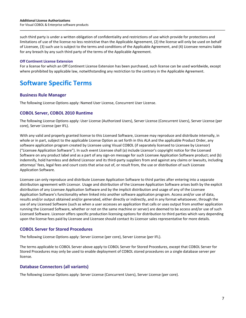such third party is under a written obligation of confidentiality and restrictions of use which provide for protections and limitations of use of the license no less restrictive than the Applicable Agreement, (2) the license will only be used on behalf of Licensee, (3) such use is subject to the terms and conditions of the Applicable Agreement, and (4) Licensee remains liable for any breach by any such third party of the terms of the Applicable Agreement.

#### **Off Continent License Extension**

For a license for which an Off Continent License Extension has been purchased, such license can be used worldwide, except where prohibited by applicable law, notwithstanding any restriction to the contrary in the Applicable Agreement.

# **Software Specific Terms**

## **Business Rule Manager**

The following License Options apply: Named User License, Concurrent User License.

## **COBOL Server, COBOL 2010 Runtime**

The following License Options apply: User License (Authorized Users), Server License (Concurrent Users), Server License (per core), Server License (per IFL).

With any valid and properly granted license to this Licensed Software, Licensee may reproduce and distribute internally, in whole or in part, subject to the applicable License Option as set forth in this ALA and the applicable Product Order, any software application program created by Licensee using Visual COBOL (if separately licensed to Licensee by Licensor) ("Licensee Application Software"). In such event Licensee shall (a) include Licensor's copyright notice for the Licensed Software on any product label and as a part of any sign-on message for such Licensee Application Software product; and (b) indemnify, hold harmless and defend Licensor and its third-party suppliers from and against any claims or lawsuits, including attorneys' fees, legal fees and court costs that arise out of, or result from, the use or distribution of such Licensee Application Software.

Licensee can only reproduce and distribute Licensee Application Software to third parties after entering into a separate distribution agreement with Licensor. Usage and distribution of the Licensee Application Software arises both by the explicit distribution of any Licensee Application Software and by the implicit distribution and usage of any of the Licensee Application Software's functionality when linked into another software application program. Access and/or use of data, results and/or output obtained and/or generated, either directly or indirectly, and in any format whatsoever, through the use of any Licensed Software (such as when a user accesses an application that calls or uses output from another application running the Licensed Software, whether or not on the same machine or server) are deemed to be access and/or use of such Licensed Software. Licensor offers specific production licensing options for distribution to third parties which vary depending upon the license fees paid by Licensee and Licensee should contact its Licensor sales representative for more details.

## **COBOL Server for Stored Procedures**

The following License Options apply: Server License (per core), Server License (per IFL).

The terms applicable to COBOL Server above apply to COBOL Server for Stored Procedures, except that COBOL Server for Stored Procedures may only be used to enable deployment of COBOL stored procedures on a single database server per license.

## **Database Connectors (all variants)**

The following License Options apply: Server License (Concurrent Users), Server License (per core).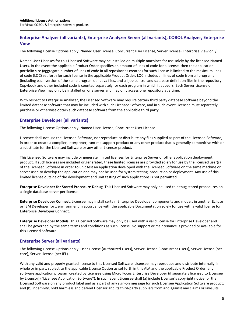## **Enterprise Analyzer (all variants), Enterprise Analyzer Server (all variants), COBOL Analyzer, Enterprise View**

The following License Options apply: Named User License, Concurrent User License, Server License (Enterprise View only).

Named User Licenses for this Licensed Software may be installed on multiple machines for use solely by the licensed Named Users. In the event the applicable Product Order specifies an amount of lines of code for a license, then the application portfolio size (aggregate number of lines of code in all repositories created) for such license is limited to the maximum lines of code (LOC) set forth for such license in the applicable Product Order. LOC includes all lines of code from all programs (including each version of the same program), all Java files, and all job control and database definition files in the repository. Copybook and other included code is counted separately for each program in which it appears. Each Server License of Enterprise View may only be installed on one server and may only access one repository at a time.

With respect to Enterprise Analyzer, the Licensed Software may require certain third party database software beyond the limited database software that may be included with such Licensed Software, and in such event Licensee must separately purchase or otherwise obtain such database software from the applicable third party.

## **Enterprise Developer (all variants)**

The following License Options apply: Named User License, Concurrent User License.

Licensee shall not use the Licensed Software, nor reproduce or distribute any files supplied as part of the Licensed Software, in order to create a compiler, interpreter, runtime support product or any other product that is generally competitive with or a substitute for the Licensed Software or any other Licensor product.

This Licensed Software may include or generate limited licenses for Enterprise Server or other application deployment product. If such licenses are included or generated, these limited licenses are provided solely for use by the licensed user(s) of the Licensed Software in order to unit test an application developed with the Licensed Software on the same machine or server used to develop the application and may not be used for system testing, production or deployment. Any use of this limited license outside of the development and unit testing of such applications is not permitted.

**Enterprise Developer for Stored Procedure Debug**. This Licensed Software may only be used to debug stored procedures on a single database server per license.

**Enterprise Developer Connect**. Licensee may install certain Enterprise Developer components and models in another Eclipse or IBM Developer for z environment in accordance with the applicable Documentation solely for use with a valid license for Enterprise Developer Connect.

**Enterprise Developer Models**. This Licensed Software may only be used with a valid license for Enterprise Developer and shall be governed by the same terms and conditions as such license. No support or maintenance is provided or available for this Licensed Software.

## **Enterprise Server (all variants)**

The following License Options apply: User License (Authorized Users), Server License (Concurrent Users), Server License (per core), Server License (per IFL).

With any valid and properly granted license to this Licensed Software, Licensee may reproduce and distribute internally, in whole or in part, subject to the applicable License Option as set forth in this ALA and the applicable Product Order, any software application program created by Licensee using Micro Focus Enterprise Developer (if separately licensed to Licensee by Licensor) ("Licensee Application Software"). In such event Licensee shall (a) include Licensor's copyright notice for the Licensed Software on any product label and as a part of any sign-on message for such Licensee Application Software product; and (b) indemnify, hold harmless and defend Licensor and its third-party suppliers from and against any claims or lawsuits,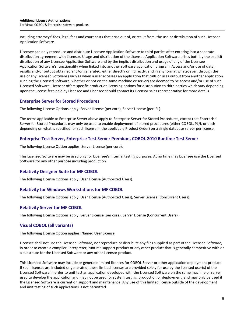including attorneys' fees, legal fees and court costs that arise out of, or result from, the use or distribution of such Licensee Application Software.

Licensee can only reproduce and distribute Licensee Application Software to third parties after entering into a separate distribution agreement with Licensor. Usage and distribution of the Licensee Application Software arises both by the explicit distribution of any Licensee Application Software and by the implicit distribution and usage of any of the Licensee Application Software's functionality when linked into another software application program. Access and/or use of data, results and/or output obtained and/or generated, either directly or indirectly, and in any format whatsoever, through the use of any Licensed Software (such as when a user accesses an application that calls or uses output from another application running the Licensed Software, whether or not on the same machine or server) are deemed to be access and/or use of such Licensed Software. Licensor offers specific production licensing options for distribution to third parties which vary depending upon the license fees paid by Licensee and Licensee should contact its Licensor sales representative for more details.

## **Enterprise Server for Stored Procedures**

The following License Options apply: Server License (per core), Server License (per IFL).

The terms applicable to Enterprise Server above apply to Enterprise Server for Stored Procedures, except that Enterprise Server for Stored Procedures may only be used to enable deployment of stored procedures (either COBOL, PL/I, or both depending on what is specified for such license in the applicable Product Order) on a single database server per license.

## **Enterprise Test Server, Enterprise Test Server Premium, COBOL 2010 Runtime Test Server**

The following License Option applies: Server License (per core).

This Licensed Software may be used only for Licensee's internal testing purposes. At no time may Licensee use the Licensed Software for any other purpose including production.

## **Relativity Designer Suite for MF COBOL**

The following License Options apply: User License (Authorized Users).

## **Relativity for Windows Workstations for MF COBOL**

The following License Options apply: User License (Authorized Users), Server License (Concurrent Users).

## **Relativity Server for MF COBOL**

The following License Options apply: Server License (per core), Server License (Concurrent Users).

## **Visual COBOL (all variants)**

The following License Option applies: Named User License.

Licensee shall not use the Licensed Software, nor reproduce or distribute any files supplied as part of the Licensed Software, in order to create a compiler, interpreter, runtime support product or any other product that is generally competitive with or a substitute for the Licensed Software or any other Licensor product.

This Licensed Software may include or generate limited licenses for COBOL Server or other application deployment product If such licenses are included or generated, these limited licenses are provided solely for use by the licensed user(s) of the Licensed Software in order to unit test an application developed with the Licensed Software on the same machine or server used to develop the application and may not be used for system testing, production or deployment, and may only be used if the Licensed Software is current on support and maintenance. Any use of this limited license outside of the development and unit testing of such applications is not permitted.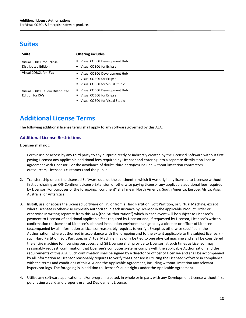# **Suites**

| Suite                                               | <b>Offering includes</b>                                                                                       |
|-----------------------------------------------------|----------------------------------------------------------------------------------------------------------------|
| Visual COBOL for Eclipse<br>Distributed Edition     | ■ Visual COBOL Development Hub<br>• Visual COBOL for Eclipse                                                   |
| Visual COBOL for ISVs                               | Visual COBOL Development Hub<br>" Visual COBOL for Eclipse<br>■ Visual COBOL for Visual Studio                 |
| Visual COBOL Studio Distributed<br>Edition for ISVs | Visual COBOL Development Hub<br>Visual COBOL for Eclipse<br>$\blacksquare$<br>■ Visual COBOL for Visual Studio |

# **Additional License Terms**

The following additional license terms shall apply to any software governed by this ALA:

## **Additional License Restrictions**

Licensee shall not:

- 1. Permit use or access by any third party to any output directly or indirectly created by the Licensed Software without first paying Licensor any applicable additional fees required by Licensor and entering into a separate distribution license agreement with Licensor. For the avoidance of doubt, third party(ies) include without limitation contractors, outsourcers, Licensee's customers and the public.
- 2. Transfer, ship or use the Licensed Software outside the continent in which it was originally licensed to Licensee without first purchasing an Off-Continent License Extension or otherwise paying Licensor any applicable additional fees required by Licensor. For purposes of the foregoing, "continent" shall mean North America, South America, Europe, Africa, Asia, Australia, or Antarctica.
- 3. Install, use, or access the Licensed Software on, in, or from a Hard Partition, Soft Partition, or Virtual Machine, except where Licensee is otherwise expressly authorized in each instance by Licensor in the applicable Product Order or otherwise in writing separate from this ALA (the "Authorization") which in each event will be subject to Licensee's payment to Licensor of additional applicable fees required by Licensor and, if requested by Licensor, Licensee's written confirmation to Licensor of Licensee's planned installation environment signed by a director or officer of Licensee (accompanied by all information as Licensor reasonably requires to verify). Except as otherwise specified in the Authorization, where authorized in accordance with the foregoing and to the extent applicable to the subject license: (i) such Hard Partition, Soft Partition, or Virtual Machine, may only be tied to one physical machine and shall be considered the entire machine for licensing purposes; and (ii) Licensee shall provide to Licensor, at such times as Licensor may reasonably request, confirmation that Licensee's computer systems comply with the applicable Authorization and the requirements of this ALA. Such confirmation shall be signed by a director or officer of Licensee and shall be accompanied by all information as Licensor reasonably requires to verify that Licensee is utilizing the Licensed Software in compliance with the terms and conditions of this ALA and the Applicable Agreement, including without limitation any relevant hypervisor logs. The foregoing is in addition to Licensor's audit rights under the Applicable Agreement.
- 4. Utilize any software application and/or program created, in whole or in part, with any Development License without first purchasing a valid and properly granted Deployment License.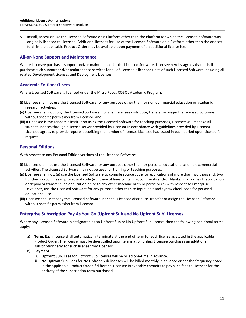5. Install, access or use the Licensed Software on a Platform other than the Platform for which the Licensed Software was originally licensed to Licensee. Additional licenses for use of the Licensed Software on a Platform other than the one set forth in the applicable Product Order may be available upon payment of an additional license fee.

## **All-or-None Support and Maintenance**

Where Licensee purchases support and/or maintenance for the Licensed Software, Licensee hereby agrees that it shall purchase such support and/or maintenance services for all of Licensee's licensed units of such Licensed Software including all related Development Licenses and Deployment Licenses.

## **Academic Editions/Users**

Where Licensed Software is licensed under the Micro Focus COBOL Academic Program:

- (i) Licensee shall not use the Licensed Software for any purpose other than for non-commercial education or academic research activities;
- (ii) Licensee shall not copy the Licensed Software, nor shall Licensee distribute, transfer or assign the Licensed Software without specific permission from Licensor; and
- (iii) If Licensee is the academic institution using the Licensed Software for teaching purposes, Licensee will manage all student licenses through a license server provided by Licensor in accordance with guidelines provided by Licensor. Licensee agrees to provide reports describing the number of licenses Licensee has issued in each period upon Licensor's request.

## **Personal Editions**

With respect to any Personal Edition versions of the Licensed Software:

- (i) Licensee shall not use the Licensed Software for any purpose other than for personal educational and non-commercial activities. The Licensed Software may not be used for training or teaching purposes.
- (ii) Licensee shall not: (a) use the Licensed Software to compile source code for applications of more than two thousand, two hundred (2200) lines of procedural code (exclusive of lines containing comments and/or blanks) in any one (1) application or deploy or transfer such application on or to any other machine or third party; or (b) with respect to Enterprise Developer, use the Licensed Software for any purpose other than to input, edit and syntax check code for personal educational use.
- (iii) Licensee shall not copy the Licensed Software, nor shall Licensee distribute, transfer or assign the Licensed Software without specific permission from Licensor.

## **Enterprise Subscription Pay As You Go (Upfront Sub and No Upfront Sub) Licenses**

Where any Licensed Software is designated as an Upfront Sub or No Upfront Sub license, then the following additional terms apply:

- a) **Term**. Each license shall automatically terminate at the end of term for such license as stated in the applicable Product Order. The license must be de-installed upon termination unless Licensee purchases an additional subscription term for such license from Licensor.
- b) **Payment.**
	- i. **Upfront Sub**. Fees for Upfront Sub licenses will be billed one-time in advance.
	- ii. **No Upfront Sub.** Fees for No Upfront Sub licenses will be billed monthly in advance or per the frequency noted in the applicable Product Order if different. Licensee irrevocably commits to pay such fees to Licensor for the entirety of the subscription term purchased.